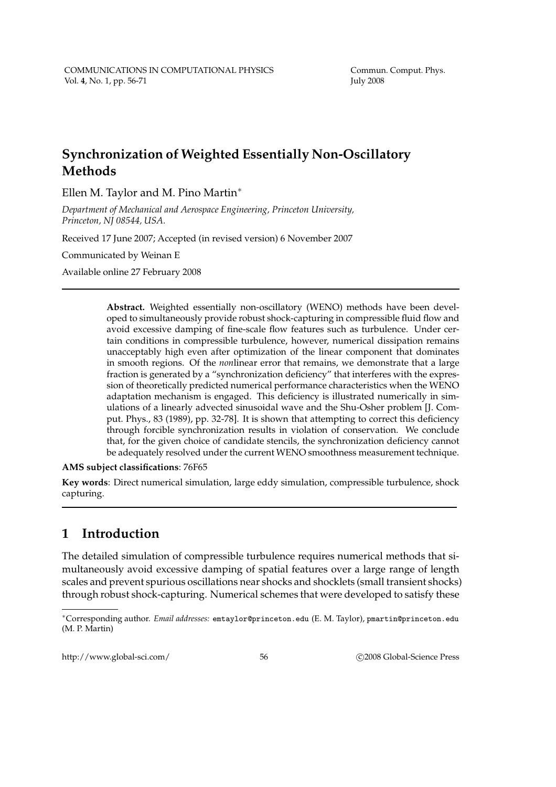# **Synchronization of Weighted Essentially Non-Oscillatory Methods**

Ellen M. Taylor and M. Pino Martin<sup>∗</sup>

*Department of Mechanical and Aerospace Engineering, Princeton University, Princeton, NJ 08544, USA.*

Received 17 June 2007; Accepted (in revised version) 6 November 2007

Communicated by Weinan E

Available online 27 February 2008

**Abstract.** Weighted essentially non-oscillatory (WENO) methods have been developed to simultaneously provide robust shock-capturing in compressible fluid flow and avoid excessive damping of fine-scale flow features such as turbulence. Under certain conditions in compressible turbulence, however, numerical dissipation remains unacceptably high even after optimization of the linear component that dominates in smooth regions. Of the *non*linear error that remains, we demonstrate that a large fraction is generated by a "synchronization deficiency" that interferes with the expression of theoretically predicted numerical performance characteristics when the WENO adaptation mechanism is engaged. This deficiency is illustrated numerically in simulations of a linearly advected sinusoidal wave and the Shu-Osher problem [J. Comput. Phys., 83 (1989), pp. 32-78]. It is shown that attempting to correct this deficiency through forcible synchronization results in violation of conservation. We conclude that, for the given choice of candidate stencils, the synchronization deficiency cannot be adequately resolved under the current WENO smoothness measurement technique.

#### **AMS subject classifications**: 76F65

**Key words**: Direct numerical simulation, large eddy simulation, compressible turbulence, shock capturing.

## **1 Introduction**

The detailed simulation of compressible turbulence requires numerical methods that simultaneously avoid excessive damping of spatial features over a large range of length scales and prevent spurious oscillations near shocks and shocklets (small transient shocks) through robust shock-capturing. Numerical schemes that were developed to satisfy these

http://www.global-sci.com/ 56 c 2008 Global-Science Press

<sup>∗</sup>Corresponding author. *Email addresses:* emtaylor@princeton.edu (E. M. Taylor), pmartin@princeton.edu (M. P. Martin)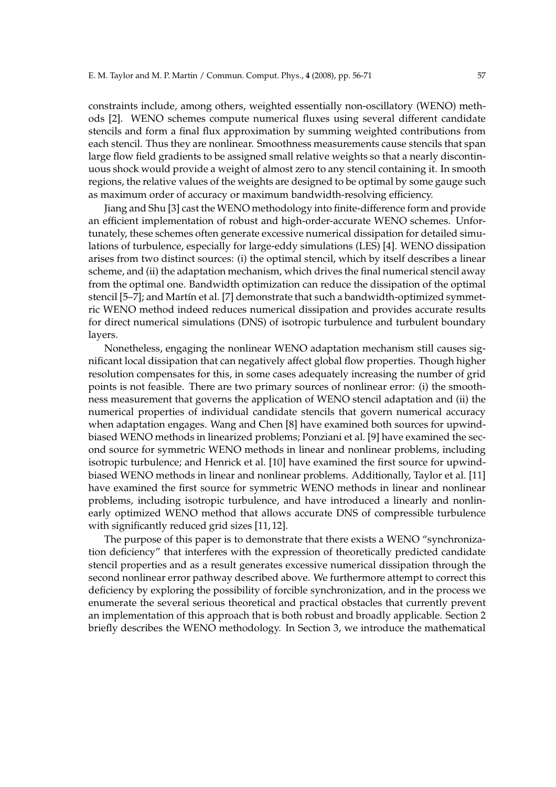constraints include, among others, weighted essentially non-oscillatory (WENO) methods [2]. WENO schemes compute numerical fluxes using several different candidate stencils and form a final flux approximation by summing weighted contributions from each stencil. Thus they are nonlinear. Smoothness measurements cause stencils that span large flow field gradients to be assigned small relative weights so that a nearly discontinuous shock would provide a weight of almost zero to any stencil containing it. In smooth regions, the relative values of the weights are designed to be optimal by some gauge such as maximum order of accuracy or maximum bandwidth-resolving efficiency.

Jiang and Shu [3] cast the WENO methodology into finite-difference form and provide an efficient implementation of robust and high-order-accurate WENO schemes. Unfortunately, these schemes often generate excessive numerical dissipation for detailed simulations of turbulence, especially for large-eddy simulations (LES) [4]. WENO dissipation arises from two distinct sources: (i) the optimal stencil, which by itself describes a linear scheme, and (ii) the adaptation mechanism, which drives the final numerical stencil away from the optimal one. Bandwidth optimization can reduce the dissipation of the optimal stencil [5–7]; and Martín et al. [7] demonstrate that such a bandwidth-optimized symmetric WENO method indeed reduces numerical dissipation and provides accurate results for direct numerical simulations (DNS) of isotropic turbulence and turbulent boundary layers.

Nonetheless, engaging the nonlinear WENO adaptation mechanism still causes significant local dissipation that can negatively affect global flow properties. Though higher resolution compensates for this, in some cases adequately increasing the number of grid points is not feasible. There are two primary sources of nonlinear error: (i) the smoothness measurement that governs the application of WENO stencil adaptation and (ii) the numerical properties of individual candidate stencils that govern numerical accuracy when adaptation engages. Wang and Chen [8] have examined both sources for upwindbiased WENO methods in linearized problems; Ponziani et al. [9] have examined the second source for symmetric WENO methods in linear and nonlinear problems, including isotropic turbulence; and Henrick et al. [10] have examined the first source for upwindbiased WENO methods in linear and nonlinear problems. Additionally, Taylor et al. [11] have examined the first source for symmetric WENO methods in linear and nonlinear problems, including isotropic turbulence, and have introduced a linearly and nonlinearly optimized WENO method that allows accurate DNS of compressible turbulence with significantly reduced grid sizes [11, 12].

The purpose of this paper is to demonstrate that there exists a WENO "synchronization deficiency" that interferes with the expression of theoretically predicted candidate stencil properties and as a result generates excessive numerical dissipation through the second nonlinear error pathway described above. We furthermore attempt to correct this deficiency by exploring the possibility of forcible synchronization, and in the process we enumerate the several serious theoretical and practical obstacles that currently prevent an implementation of this approach that is both robust and broadly applicable. Section 2 briefly describes the WENO methodology. In Section 3, we introduce the mathematical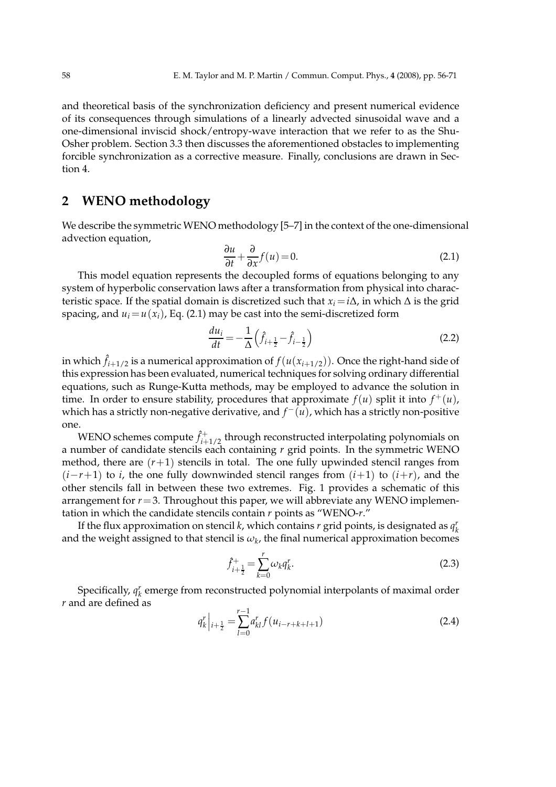and theoretical basis of the synchronization deficiency and present numerical evidence of its consequences through simulations of a linearly advected sinusoidal wave and a one-dimensional inviscid shock/entropy-wave interaction that we refer to as the Shu-Osher problem. Section 3.3 then discusses the aforementioned obstacles to implementing forcible synchronization as a corrective measure. Finally, conclusions are drawn in Section 4.

### **2 WENO methodology**

We describe the symmetric WENO methodology [5–7] in the context of the one-dimensional advection equation,

$$
\frac{\partial u}{\partial t} + \frac{\partial}{\partial x} f(u) = 0.
$$
 (2.1)

This model equation represents the decoupled forms of equations belonging to any system of hyperbolic conservation laws after a transformation from physical into characteristic space. If the spatial domain is discretized such that  $x_i = i\Delta$ , in which  $\Delta$  is the grid spacing, and  $u_i = u(x_i)$ , Eq. (2.1) may be cast into the semi-discretized form

$$
\frac{du_i}{dt} = -\frac{1}{\Delta} \left( \hat{f}_{i+\frac{1}{2}} - \hat{f}_{i-\frac{1}{2}} \right)
$$
 (2.2)

in which  $\hat{f}_{i+1/2}$  is a numerical approximation of  $f(u(x_{i+1/2}))$ . Once the right-hand side of this expression has been evaluated, numerical techniques for solving ordinary differential equations, such as Runge-Kutta methods, may be employed to advance the solution in time. In order to ensure stability, procedures that approximate  $f(u)$  split it into  $f^+(u)$ , which has a strictly non-negative derivative, and  $f^-(u)$ , which has a strictly non-positive one.

WENO schemes compute  $\hat{f}^+_{i+1/2}$  through reconstructed interpolating polynomials on a number of candidate stencils each containing *r* grid points. In the symmetric WENO method, there are  $(r+1)$  stencils in total. The one fully upwinded stencil ranges from (*i*−*r*+1) to *i*, the one fully downwinded stencil ranges from (*i*+1) to (*i*+*r*), and the other stencils fall in between these two extremes. Fig. 1 provides a schematic of this arrangement for  $r=3$ . Throughout this paper, we will abbreviate any WENO implementation in which the candidate stencils contain *r* points as "WENO-*r*."

If the flux approximation on stencil  $k$ , which contains  $r$  grid points, is designated as  $q_k^r$ and the weight assigned to that stencil is  $\omega_k$ , the final numerical approximation becomes

$$
\hat{f}_{i+\frac{1}{2}}^{+} = \sum_{k=0}^{r} \omega_k q_k^r.
$$
\n(2.3)

Specifically,  $q_k^r$  emerge from reconstructed polynomial interpolants of maximal order *r* and are defined as

$$
q_k^r\Big|_{i+\frac{1}{2}} = \sum_{l=0}^{r-1} a_{kl}^r f(u_{i-r+k+l+1}) \tag{2.4}
$$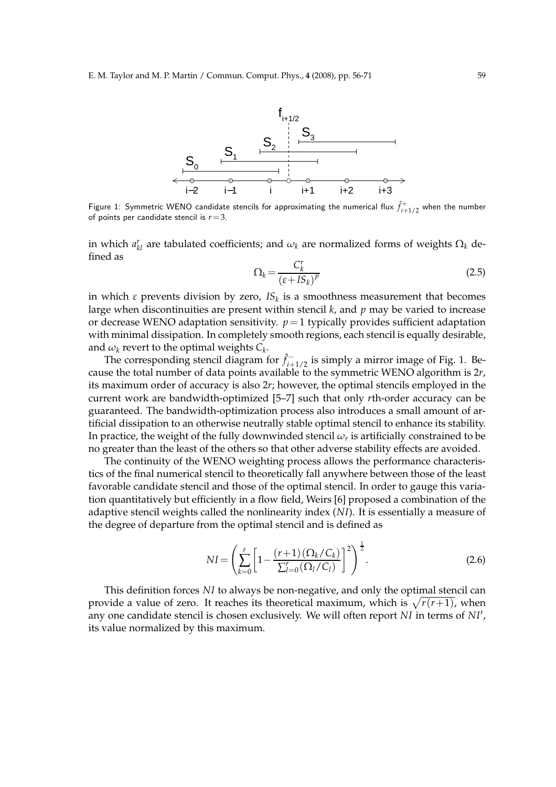

Figure 1: Symmetric WENO candidate stencils for approximating the numerical flux  $\hat{f}_{i+1/2}^+$  when the number of points per candidate stencil is *r*=3.

in which  $a_{kl}^r$  are tabulated coefficients; and  $\omega_k$  are normalized forms of weights  $\Omega_k$  defined as

$$
\Omega_k = \frac{C_k^r}{\left(\varepsilon + IS_k\right)^p} \tag{2.5}
$$

in which *ε* prevents division by zero, *IS<sup>k</sup>* is a smoothness measurement that becomes large when discontinuities are present within stencil *k*, and *p* may be varied to increase or decrease WENO adaptation sensitivity.  $p=1$  typically provides sufficient adaptation with minimal dissipation. In completely smooth regions, each stencil is equally desirable, and  $\omega_k$  revert to the optimal weights  $C_k$ .

The corresponding stencil diagram for  $\hat{f}_{i+1/2}^-$  is simply a mirror image of Fig. 1. Because the total number of data points available to the symmetric WENO algorithm is 2*r*, its maximum order of accuracy is also 2*r*; however, the optimal stencils employed in the current work are bandwidth-optimized [5–7] such that only *r*th-order accuracy can be guaranteed. The bandwidth-optimization process also introduces a small amount of artificial dissipation to an otherwise neutrally stable optimal stencil to enhance its stability. In practice, the weight of the fully downwinded stencil  $\omega_r$  is artificially constrained to be no greater than the least of the others so that other adverse stability effects are avoided.

The continuity of the WENO weighting process allows the performance characteristics of the final numerical stencil to theoretically fall anywhere between those of the least favorable candidate stencil and those of the optimal stencil. In order to gauge this variation quantitatively but efficiently in a flow field, Weirs [6] proposed a combination of the adaptive stencil weights called the nonlinearity index (*NI*). It is essentially a measure of the degree of departure from the optimal stencil and is defined as

$$
NI = \left(\sum_{k=0}^{r} \left[1 - \frac{(r+1)\left(\Omega_k/C_k\right)}{\sum_{l=0}^{r} \left(\Omega_l/C_l\right)}\right]^2\right)^{\frac{1}{2}}.
$$
\n(2.6)

This definition forces *NI* to always be non-negative, and only the optimal stencil can provide a value of zero. It reaches its theoretical maximum, which is  $\sqrt{r(r+1)}$ , when any one candidate stencil is chosen exclusively. We will often report *NI* in terms of *NI*′ , its value normalized by this maximum.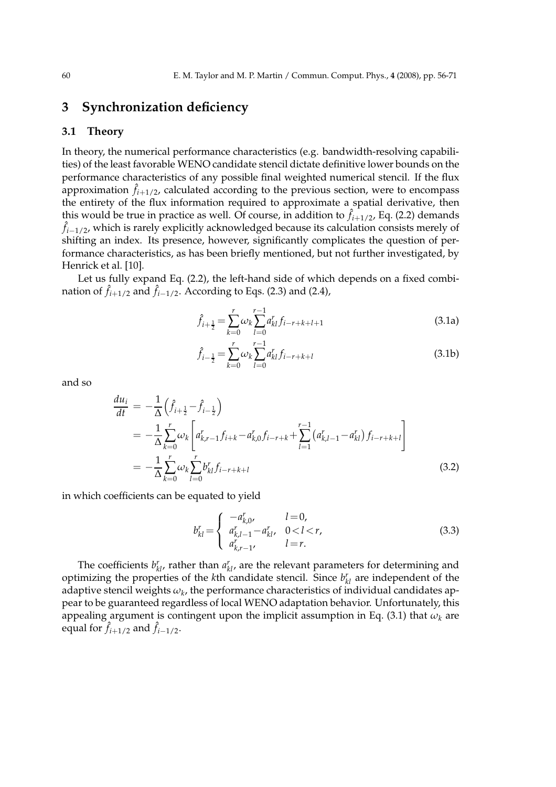### **3 Synchronization deficiency**

#### **3.1 Theory**

In theory, the numerical performance characteristics (e.g. bandwidth-resolving capabilities) of the least favorable WENO candidate stencil dictate definitive lower bounds on the performance characteristics of any possible final weighted numerical stencil. If the flux approximation  $\hat{f}_{i+1/2}$ , calculated according to the previous section, were to encompass the entirety of the flux information required to approximate a spatial derivative, then this would be true in practice as well. Of course, in addition to  $\hat{f}_{i+1/2}$ , Eq. (2.2) demands ˆ *fi*−1/2, which is rarely explicitly acknowledged because its calculation consists merely of shifting an index. Its presence, however, significantly complicates the question of performance characteristics, as has been briefly mentioned, but not further investigated, by Henrick et al. [10].

Let us fully expand Eq. (2.2), the left-hand side of which depends on a fixed combination of  $\hat{f}_{i+1/2}$  and  $\hat{f}_{i-1/2}$ . According to Eqs. (2.3) and (2.4),

$$
\hat{f}_{i+\frac{1}{2}} = \sum_{k=0}^{r} \omega_k \sum_{l=0}^{r-1} a_{kl}^r f_{i-r+k+l+1}
$$
\n(3.1a)

$$
\hat{f}_{i-\frac{1}{2}} = \sum_{k=0}^{r} \omega_k \sum_{l=0}^{r-1} a_{kl}^r f_{i-r+k+l}
$$
\n(3.1b)

and so

$$
\frac{du_i}{dt} = -\frac{1}{\Delta} \left( \hat{f}_{i+\frac{1}{2}} - \hat{f}_{i-\frac{1}{2}} \right)
$$
\n
$$
= -\frac{1}{\Delta} \sum_{k=0}^r \omega_k \left[ a_{k,r-1}^r f_{i+k} - a_{k,0}^r f_{i-r+k} + \sum_{l=1}^{r-1} \left( a_{k,l-1}^r - a_{kl}^r \right) f_{i-r+k+l} \right]
$$
\n
$$
= -\frac{1}{\Delta} \sum_{k=0}^r \omega_k \sum_{l=0}^r b_{kl}^r f_{i-r+k+l} \tag{3.2}
$$

in which coefficients can be equated to yield

$$
b_{kl}^r = \begin{cases} -a_{k,0}^r, & l = 0, \\ a_{k,l-1}^r - a_{kl}^r, & 0 < l < r, \\ a_{k,r-1}^r, & l = r. \end{cases}
$$
 (3.3)

The coefficients  $b_{kl}^r$ , rather than  $a_{kl}^r$ , are the relevant parameters for determining and optimizing the properties of the  $k$ <sup>th</sup> candidate stencil. Since  $b_{kl}^r$  are independent of the adaptive stencil weights  $\omega_k$ , the performance characteristics of individual candidates appear to be guaranteed regardless of local WENO adaptation behavior. Unfortunately, this appealing argument is contingent upon the implicit assumption in Eq. (3.1) that *ω<sup>k</sup>* are equal for  $\hat{f}_{i+1/2}$  and  $\hat{f}_{i-1/2}$ .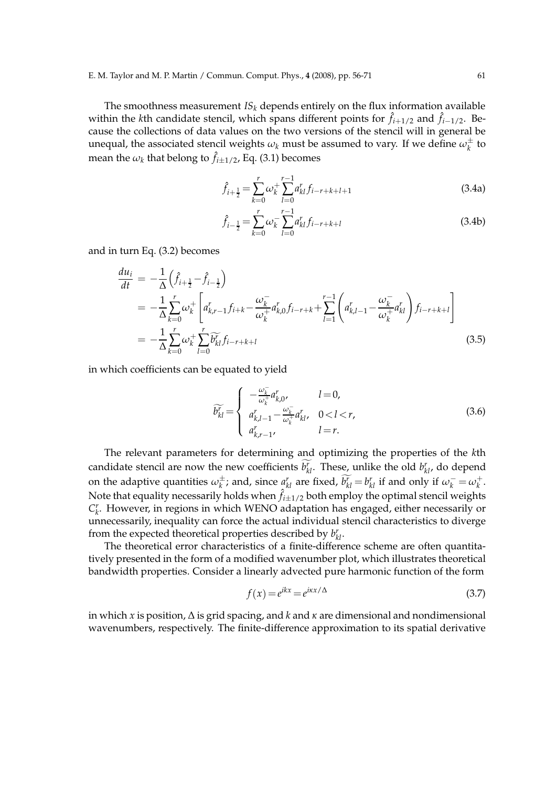The smoothness measurement  $IS_k$  depends entirely on the flux information available within the *k*th candidate stencil, which spans different points for  $\hat{f}_{i+1/2}$  and  $\hat{f}_{i-1/2}$ . Because the collections of data values on the two versions of the stencil will in general be unequal, the associated stencil weights  $\omega_k$  must be assumed to vary. If we define  $\omega_k^\pm$  $\frac{1}{k}$  to mean the  $\omega_k$  that belong to  $\hat{f}_{i\pm 1/2}$ , Eq. (3.1) becomes

$$
\hat{f}_{i+\frac{1}{2}} = \sum_{k=0}^{r} \omega_k^+ \sum_{l=0}^{r-1} a_{kl}^r f_{i-r+k+l+1}
$$
\n(3.4a)

$$
\hat{f}_{i-\frac{1}{2}} = \sum_{k=0}^{r} \omega_k^{-1} \sum_{l=0}^{r-1} a_{kl}^r f_{i-r+k+l}
$$
\n(3.4b)

and in turn Eq. (3.2) becomes

$$
\frac{du_i}{dt} = -\frac{1}{\Delta} \left( \hat{f}_{i+\frac{1}{2}} - \hat{f}_{i-\frac{1}{2}} \right)
$$
\n
$$
= -\frac{1}{\Delta} \sum_{k=0}^r \omega_k^+ \left[ a_{k,r-1}^r f_{i+k} - \frac{\omega_k^-}{\omega_k^+} a_{k,0}^r f_{i-r+k} + \sum_{l=1}^{r-1} \left( a_{k,l-1}^r - \frac{\omega_k^-}{\omega_k^+} a_{kl}^r \right) f_{i-r+k+l} \right]
$$
\n
$$
= -\frac{1}{\Delta} \sum_{k=0}^r \omega_k^+ \sum_{l=0}^r \widetilde{b}_{kl}^r f_{i-r+k+l} \tag{3.5}
$$

in which coefficients can be equated to yield

$$
\widetilde{b_{kl}^r} = \begin{cases}\n-\frac{\omega_k^-}{\omega_k^+} a_{k,0}^r, & l = 0, \\
a_{k,l-1}^r - \frac{\omega_k^-}{\omega_k^+} a_{kl}^r, & 0 < l < r, \\
a_{k,r-1}^r, & l = r.\n\end{cases}
$$
\n(3.6)

The relevant parameters for determining and optimizing the properties of the *k*th candidate stencil are now the new coefficients  $b_{kl}^r$ . These, unlike the old  $b_{kl}^r$ , do depend on the adaptive quantities  $\omega_k^\pm$  $\frac{d}{dx}$ ; and, since  $a_{kl}^r$  are fixed,  $b_{kl}^r = b_{kl}^r$  if and only if  $\omega_k^- = \omega_k^+$ *k* . Note that equality necessarily holds when  $\hat{f}_{i\pm 1/2}$  both employ the optimal stencil weights  $C_k^r$ . However, in regions in which WENO adaptation has engaged, either necessarily or unnecessarily, inequality can force the actual individual stencil characteristics to diverge from the expected theoretical properties described by  $b_{kl}^r$ .

The theoretical error characteristics of a finite-difference scheme are often quantitatively presented in the form of a modified wavenumber plot, which illustrates theoretical bandwidth properties. Consider a linearly advected pure harmonic function of the form

$$
f(x) = e^{ikx} = e^{ikx/\Delta}
$$
\n(3.7)

in which *x* is position, ∆ is grid spacing, and *k* and *κ* are dimensional and nondimensional wavenumbers, respectively. The finite-difference approximation to its spatial derivative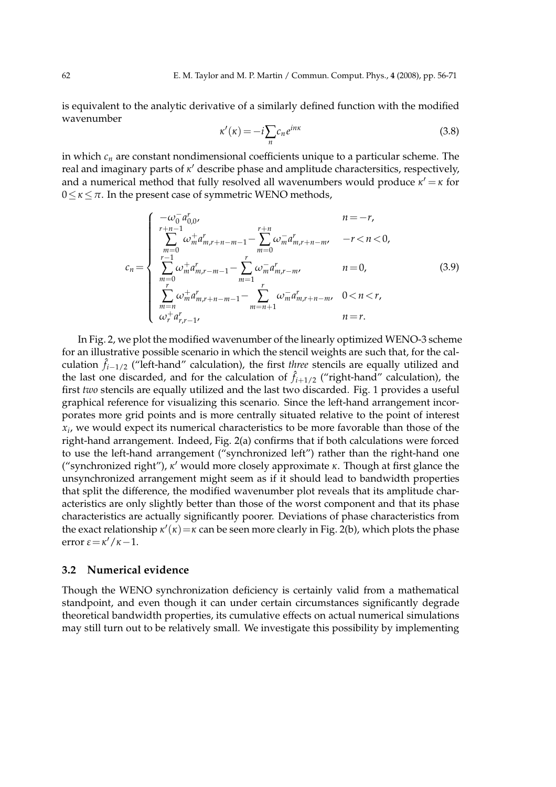is equivalent to the analytic derivative of a similarly defined function with the modified wavenumber

$$
\kappa'(\kappa) = -i \sum_{n} c_n e^{inx} \tag{3.8}
$$

in which *c<sup>n</sup>* are constant nondimensional coefficients unique to a particular scheme. The real and imaginary parts of *κ* ′ describe phase and amplitude charactersitics, respectively, and a numerical method that fully resolved all wavenumbers would produce  $\kappa' = \kappa$  for 0≤*κ*≤*π*. In the present case of symmetric WENO methods,

$$
c_{n} = \begin{cases}\n-\omega_{0}^{-} a_{0,0}^{r}, & n = -r, \\
\sum_{m=0}^{r+n-1} \omega_{m}^{+} a_{m,r+n-m-1}^{r} - \sum_{m=0}^{r+n} \omega_{m}^{-} a_{m,r+n-m}^{r}, & -r < n < 0, \\
\sum_{r=1}^{r-1} \omega_{m}^{+} a_{m,r-m-1}^{r} - \sum_{m=1}^{r} \omega_{m}^{-} a_{m,r-m}^{r}, & n = 0, \\
\sum_{m=0}^{r} \omega_{m}^{+} a_{m,r+n-m-1}^{r} - \sum_{m=n+1}^{r} \omega_{m}^{-} a_{m,r+n-m}^{r}, & 0 < n < r, \\
\omega_{r}^{+} a_{r,r-1}^{r}, & n = r.\n\end{cases}
$$
\n(3.9)

In Fig. 2, we plot the modified wavenumber of the linearly optimized WENO-3 scheme for an illustrative possible scenario in which the stencil weights are such that, for the calculation ˆ *fi*−1/2 ("left-hand" calculation), the first *three* stencils are equally utilized and the last one discarded, and for the calculation of  $\hat{f}_{i+1/2}$  ("right-hand" calculation), the first *two* stencils are equally utilized and the last two discarded. Fig. 1 provides a useful graphical reference for visualizing this scenario. Since the left-hand arrangement incorporates more grid points and is more centrally situated relative to the point of interest *xi* , we would expect its numerical characteristics to be more favorable than those of the right-hand arrangement. Indeed, Fig. 2(a) confirms that if both calculations were forced to use the left-hand arrangement ("synchronized left") rather than the right-hand one ("synchronized right"), *κ* ′ would more closely approximate *κ*. Though at first glance the unsynchronized arrangement might seem as if it should lead to bandwidth properties that split the difference, the modified wavenumber plot reveals that its amplitude characteristics are only slightly better than those of the worst component and that its phase characteristics are actually significantly poorer. Deviations of phase characteristics from the exact relationship *κ* ′ (*κ*)=*κ* can be seen more clearly in Fig. 2(b), which plots the phase error *ε*=*κ* ′/*κ*−1.

#### **3.2 Numerical evidence**

Though the WENO synchronization deficiency is certainly valid from a mathematical standpoint, and even though it can under certain circumstances significantly degrade theoretical bandwidth properties, its cumulative effects on actual numerical simulations may still turn out to be relatively small. We investigate this possibility by implementing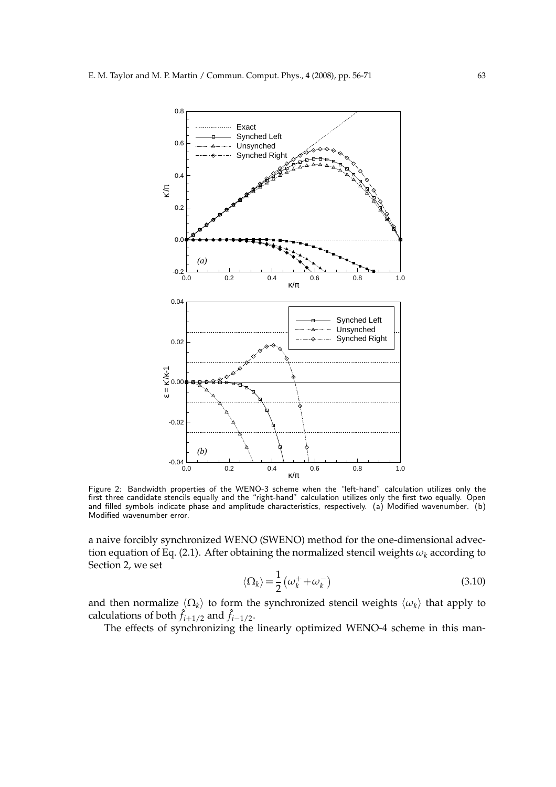

Figure 2: Bandwidth properties of the WENO-3 scheme when the "left-hand" calculation utilizes only the first three candidate stencils equally and the "right-hand" calculation utilizes only the first two equally. Open and filled symbols indicate phase and amplitude characteristics, respectively. (a) Modified wavenumber. (b) Modified wavenumber error.

a naive forcibly synchronized WENO (SWENO) method for the one-dimensional advection equation of Eq. (2.1). After obtaining the normalized stencil weights  $\omega_k$  according to Section 2, we set

$$
\langle \Omega_k \rangle = \frac{1}{2} \left( \omega_k^+ + \omega_k^- \right) \tag{3.10}
$$

and then normalize  $\langle \Omega_k \rangle$  to form the synchronized stencil weights  $\langle \omega_k \rangle$  that apply to calculations of both  $\hat{f}_{i+1/2}$  and  $\hat{f}_{i-1/2}$ .

The effects of synchronizing the linearly optimized WENO-4 scheme in this man-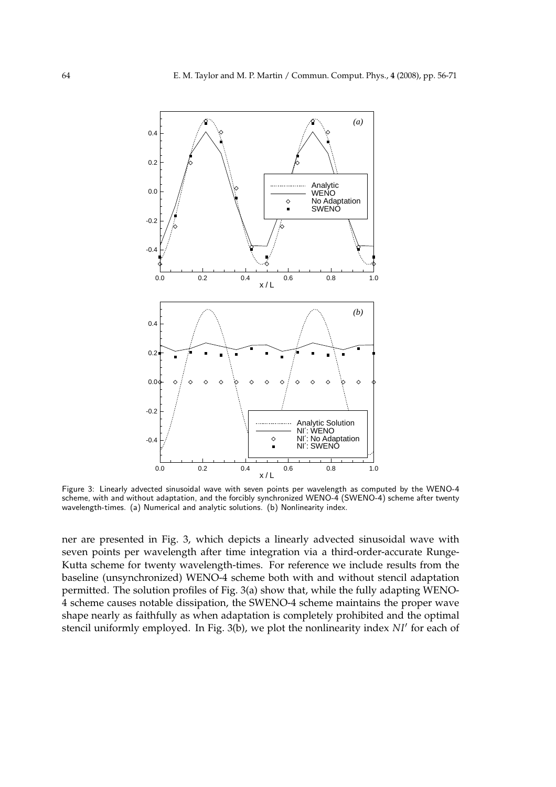

Figure 3: Linearly advected sinusoidal wave with seven points per wavelength as computed by the WENO-4 scheme, with and without adaptation, and the forcibly synchronized WENO-4 (SWENO-4) scheme after twenty wavelength-times. (a) Numerical and analytic solutions. (b) Nonlinearity index.

ner are presented in Fig. 3, which depicts a linearly advected sinusoidal wave with seven points per wavelength after time integration via a third-order-accurate Runge-Kutta scheme for twenty wavelength-times. For reference we include results from the baseline (unsynchronized) WENO-4 scheme both with and without stencil adaptation permitted. The solution profiles of Fig. 3(a) show that, while the fully adapting WENO-4 scheme causes notable dissipation, the SWENO-4 scheme maintains the proper wave shape nearly as faithfully as when adaptation is completely prohibited and the optimal stencil uniformly employed. In Fig. 3(b), we plot the nonlinearity index *NI*′ for each of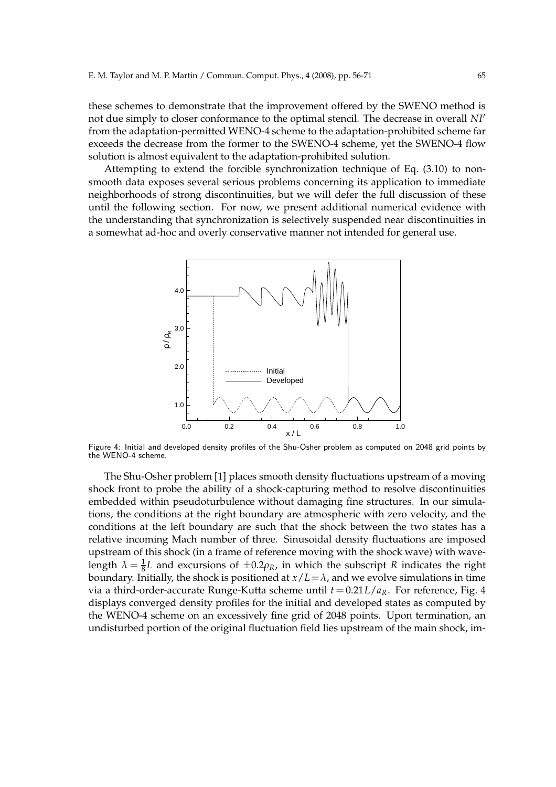these schemes to demonstrate that the improvement offered by the SWENO method is not due simply to closer conformance to the optimal stencil. The decrease in overall *NI*′ from the adaptation-permitted WENO-4 scheme to the adaptation-prohibited scheme far exceeds the decrease from the former to the SWENO-4 scheme, yet the SWENO-4 flow solution is almost equivalent to the adaptation-prohibited solution.

Attempting to extend the forcible synchronization technique of Eq. (3.10) to nonsmooth data exposes several serious problems concerning its application to immediate neighborhoods of strong discontinuities, but we will defer the full discussion of these until the following section. For now, we present additional numerical evidence with the understanding that synchronization is selectively suspended near discontinuities in a somewhat ad-hoc and overly conservative manner not intended for general use.



Figure 4: Initial and developed density profiles of the Shu-Osher problem as computed on 2048 grid points by the WENO-4 scheme.

The Shu-Osher problem [1] places smooth density fluctuations upstream of a moving shock front to probe the ability of a shock-capturing method to resolve discontinuities embedded within pseudoturbulence without damaging fine structures. In our simulations, the conditions at the right boundary are atmospheric with zero velocity, and the conditions at the left boundary are such that the shock between the two states has a relative incoming Mach number of three. Sinusoidal density fluctuations are imposed upstream of this shock (in a frame of reference moving with the shock wave) with wavelength  $\lambda = \frac{1}{8}L$  and excursions of  $\pm 0.2\rho_R$ , in which the subscript *R* indicates the right boundary. Initially, the shock is positioned at  $x/L = \lambda$ , and we evolve simulations in time via a third-order-accurate Runge-Kutta scheme until  $t = 0.21L/a_R$ . For reference, Fig. 4 displays converged density profiles for the initial and developed states as computed by the WENO-4 scheme on an excessively fine grid of 2048 points. Upon termination, an undisturbed portion of the original fluctuation field lies upstream of the main shock, im-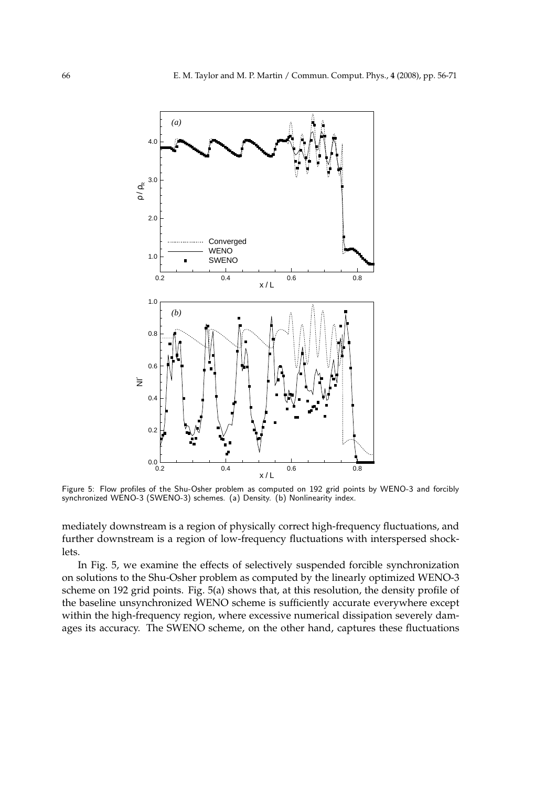

Figure 5: Flow profiles of the Shu-Osher problem as computed on 192 grid points by WENO-3 and forcibly synchronized WENO-3 (SWENO-3) schemes. (a) Density. (b) Nonlinearity index.

mediately downstream is a region of physically correct high-frequency fluctuations, and further downstream is a region of low-frequency fluctuations with interspersed shocklets.

In Fig. 5, we examine the effects of selectively suspended forcible synchronization on solutions to the Shu-Osher problem as computed by the linearly optimized WENO-3 scheme on 192 grid points. Fig. 5(a) shows that, at this resolution, the density profile of the baseline unsynchronized WENO scheme is sufficiently accurate everywhere except within the high-frequency region, where excessive numerical dissipation severely damages its accuracy. The SWENO scheme, on the other hand, captures these fluctuations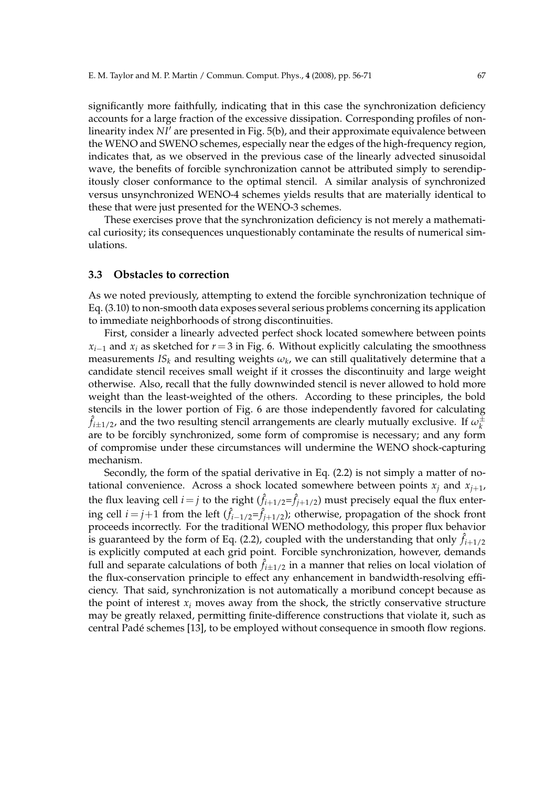significantly more faithfully, indicating that in this case the synchronization deficiency accounts for a large fraction of the excessive dissipation. Corresponding profiles of nonlinearity index *NI*′ are presented in Fig. 5(b), and their approximate equivalence between the WENO and SWENO schemes, especially near the edges of the high-frequency region, indicates that, as we observed in the previous case of the linearly advected sinusoidal wave, the benefits of forcible synchronization cannot be attributed simply to serendipitously closer conformance to the optimal stencil. A similar analysis of synchronized versus unsynchronized WENO-4 schemes yields results that are materially identical to these that were just presented for the WENO-3 schemes.

These exercises prove that the synchronization deficiency is not merely a mathematical curiosity; its consequences unquestionably contaminate the results of numerical simulations.

#### **3.3 Obstacles to correction**

As we noted previously, attempting to extend the forcible synchronization technique of Eq. (3.10) to non-smooth data exposes several serious problems concerning its application to immediate neighborhoods of strong discontinuities.

First, consider a linearly advected perfect shock located somewhere between points  $x_{i-1}$  and  $x_i$  as sketched for  $r = 3$  in Fig. 6. Without explicitly calculating the smoothness measurements  $IS_k$  and resulting weights  $\omega_k$ , we can still qualitatively determine that a candidate stencil receives small weight if it crosses the discontinuity and large weight otherwise. Also, recall that the fully downwinded stencil is never allowed to hold more weight than the least-weighted of the others. According to these principles, the bold stencils in the lower portion of Fig. 6 are those independently favored for calculating  $\hat{f}_{i\pm1/2}$ , and the two resulting stencil arrangements are clearly mutually exclusive. If  $\omega_k^\pm$ *k* are to be forcibly synchronized, some form of compromise is necessary; and any form of compromise under these circumstances will undermine the WENO shock-capturing mechanism.

Secondly, the form of the spatial derivative in Eq. (2.2) is not simply a matter of notational convenience. Across a shock located somewhere between points  $x_i$  and  $x_{i+1}$ , the flux leaving cell  $i = j$  to the right  $(\hat{f}_{i+1/2} = \hat{f}_{j+1/2})$  must precisely equal the flux entering cell  $i = j+1$  from the left  $(\hat{f}_{i-1/2} = \hat{f}_{j+1/2})$ ; otherwise, propagation of the shock front proceeds incorrectly. For the traditional WENO methodology, this proper flux behavior is guaranteed by the form of Eq. (2.2), coupled with the understanding that only  $\hat{f}_{i+1/2}$ is explicitly computed at each grid point. Forcible synchronization, however, demands full and separate calculations of both  $\hat{f}_{i\pm 1/2}$  in a manner that relies on local violation of the flux-conservation principle to effect any enhancement in bandwidth-resolving efficiency. That said, synchronization is not automatically a moribund concept because as the point of interest  $x_i$  moves away from the shock, the strictly conservative structure may be greatly relaxed, permitting finite-difference constructions that violate it, such as central Padé schemes [13], to be employed without consequence in smooth flow regions.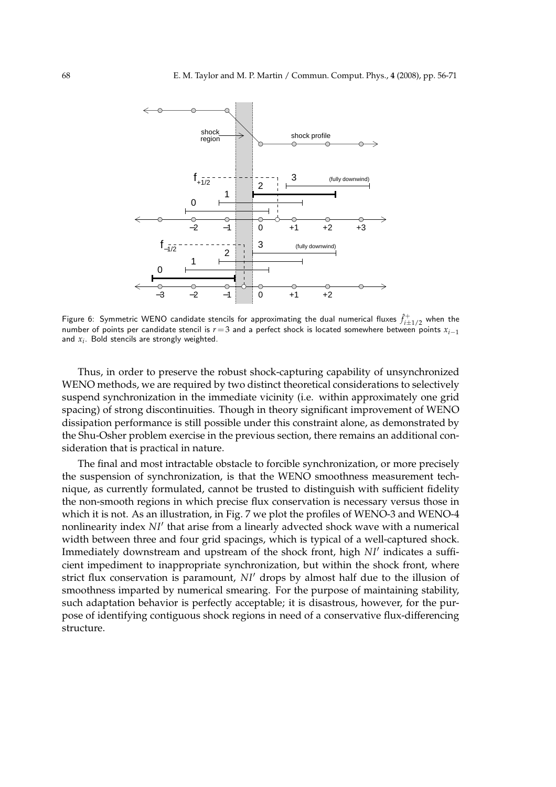

Figure 6: Symmetric WENO candidate stencils for approximating the dual numerical fluxes  $\hat{f}_{i\pm 1/2}^+$  when the number of points per candidate stencil is *r*=3 and a perfect shock is located somewhere between points *xi*−<sup>1</sup> and *x<sup>i</sup>* . Bold stencils are strongly weighted.

Thus, in order to preserve the robust shock-capturing capability of unsynchronized WENO methods, we are required by two distinct theoretical considerations to selectively suspend synchronization in the immediate vicinity (i.e. within approximately one grid spacing) of strong discontinuities. Though in theory significant improvement of WENO dissipation performance is still possible under this constraint alone, as demonstrated by the Shu-Osher problem exercise in the previous section, there remains an additional consideration that is practical in nature.

The final and most intractable obstacle to forcible synchronization, or more precisely the suspension of synchronization, is that the WENO smoothness measurement technique, as currently formulated, cannot be trusted to distinguish with sufficient fidelity the non-smooth regions in which precise flux conservation is necessary versus those in which it is not. As an illustration, in Fig. 7 we plot the profiles of WENO-3 and WENO-4 nonlinearity index *NI*′ that arise from a linearly advected shock wave with a numerical width between three and four grid spacings, which is typical of a well-captured shock. Immediately downstream and upstream of the shock front, high *NI*′ indicates a sufficient impediment to inappropriate synchronization, but within the shock front, where strict flux conservation is paramount, *NI*′ drops by almost half due to the illusion of smoothness imparted by numerical smearing. For the purpose of maintaining stability, such adaptation behavior is perfectly acceptable; it is disastrous, however, for the purpose of identifying contiguous shock regions in need of a conservative flux-differencing structure.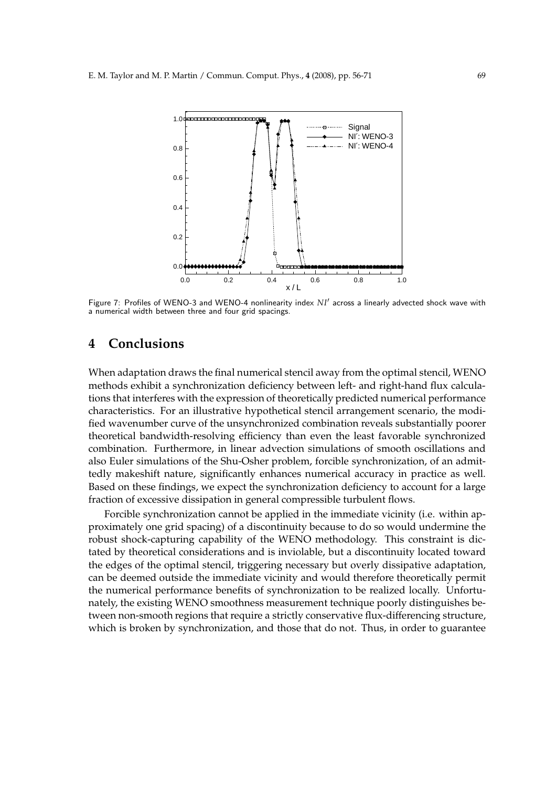

Figure 7: Profiles of WENO-3 and WENO-4 nonlinearity index NI' across a linearly advected shock wave with a numerical width between three and four grid spacings.

## **4 Conclusions**

When adaptation draws the final numerical stencil away from the optimal stencil, WENO methods exhibit a synchronization deficiency between left- and right-hand flux calculations that interferes with the expression of theoretically predicted numerical performance characteristics. For an illustrative hypothetical stencil arrangement scenario, the modified wavenumber curve of the unsynchronized combination reveals substantially poorer theoretical bandwidth-resolving efficiency than even the least favorable synchronized combination. Furthermore, in linear advection simulations of smooth oscillations and also Euler simulations of the Shu-Osher problem, forcible synchronization, of an admittedly makeshift nature, significantly enhances numerical accuracy in practice as well. Based on these findings, we expect the synchronization deficiency to account for a large fraction of excessive dissipation in general compressible turbulent flows.

Forcible synchronization cannot be applied in the immediate vicinity (i.e. within approximately one grid spacing) of a discontinuity because to do so would undermine the robust shock-capturing capability of the WENO methodology. This constraint is dictated by theoretical considerations and is inviolable, but a discontinuity located toward the edges of the optimal stencil, triggering necessary but overly dissipative adaptation, can be deemed outside the immediate vicinity and would therefore theoretically permit the numerical performance benefits of synchronization to be realized locally. Unfortunately, the existing WENO smoothness measurement technique poorly distinguishes between non-smooth regions that require a strictly conservative flux-differencing structure, which is broken by synchronization, and those that do not. Thus, in order to guarantee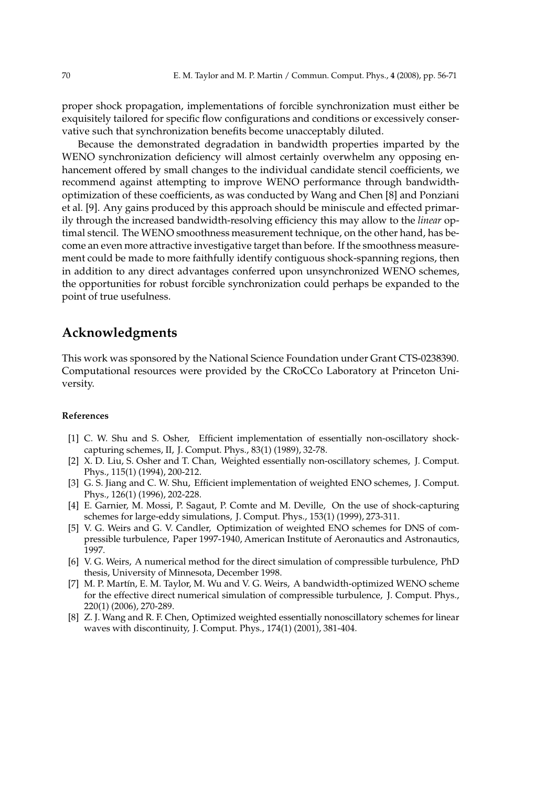proper shock propagation, implementations of forcible synchronization must either be exquisitely tailored for specific flow configurations and conditions or excessively conservative such that synchronization benefits become unacceptably diluted.

Because the demonstrated degradation in bandwidth properties imparted by the WENO synchronization deficiency will almost certainly overwhelm any opposing enhancement offered by small changes to the individual candidate stencil coefficients, we recommend against attempting to improve WENO performance through bandwidthoptimization of these coefficients, as was conducted by Wang and Chen [8] and Ponziani et al. [9]. Any gains produced by this approach should be miniscule and effected primarily through the increased bandwidth-resolving efficiency this may allow to the *linear* optimal stencil. The WENO smoothness measurement technique, on the other hand, has become an even more attractive investigative target than before. If the smoothness measurement could be made to more faithfully identify contiguous shock-spanning regions, then in addition to any direct advantages conferred upon unsynchronized WENO schemes, the opportunities for robust forcible synchronization could perhaps be expanded to the point of true usefulness.

## **Acknowledgments**

This work was sponsored by the National Science Foundation under Grant CTS-0238390. Computational resources were provided by the CRoCCo Laboratory at Princeton University.

#### **References**

- [1] C. W. Shu and S. Osher, Efficient implementation of essentially non-oscillatory shockcapturing schemes, II, J. Comput. Phys., 83(1) (1989), 32-78.
- [2] X. D. Liu, S. Osher and T. Chan, Weighted essentially non-oscillatory schemes, J. Comput. Phys., 115(1) (1994), 200-212.
- [3] G. S. Jiang and C. W. Shu, Efficient implementation of weighted ENO schemes, J. Comput. Phys., 126(1) (1996), 202-228.
- [4] E. Garnier, M. Mossi, P. Sagaut, P. Comte and M. Deville, On the use of shock-capturing schemes for large-eddy simulations, J. Comput. Phys., 153(1) (1999), 273-311.
- [5] V. G. Weirs and G. V. Candler, Optimization of weighted ENO schemes for DNS of compressible turbulence, Paper 1997-1940, American Institute of Aeronautics and Astronautics, 1997.
- [6] V. G. Weirs, A numerical method for the direct simulation of compressible turbulence, PhD thesis, University of Minnesota, December 1998.
- [7] M. P. Martín, E. M. Taylor, M. Wu and V. G. Weirs, A bandwidth-optimized WENO scheme for the effective direct numerical simulation of compressible turbulence, J. Comput. Phys., 220(1) (2006), 270-289.
- [8] Z. J. Wang and R. F. Chen, Optimized weighted essentially nonoscillatory schemes for linear waves with discontinuity, J. Comput. Phys., 174(1) (2001), 381-404.